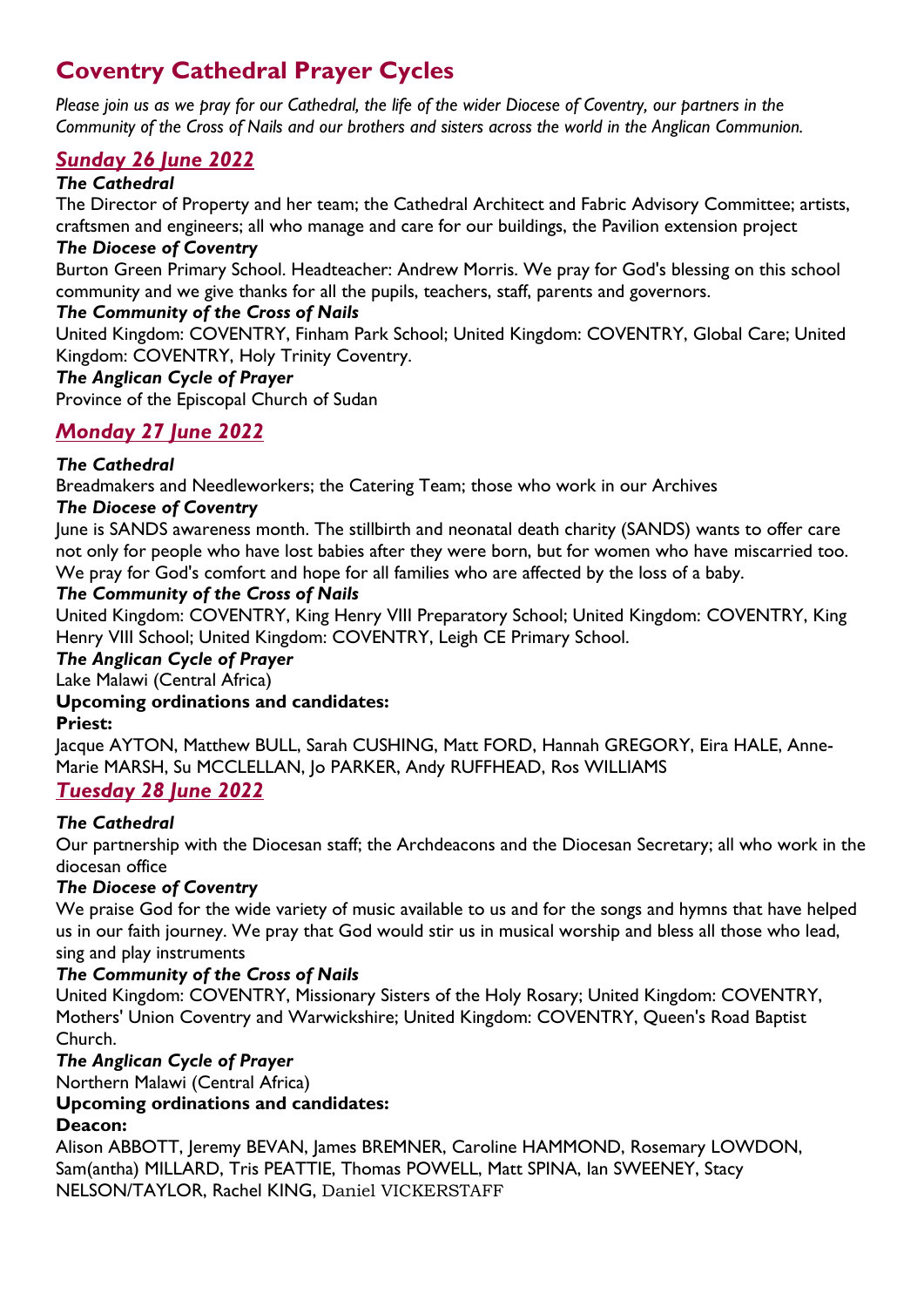# **Coventry Cathedral Prayer Cycles**

*Please join us as we pray for our Cathedral, the life of the wider Diocese of Coventry, our partners in the Community of the Cross of Nails and our brothers and sisters across the world in the Anglican Communion.*

# *Sunday 26 June 2022*

### *The Cathedral*

The Director of Property and her team; the Cathedral Architect and Fabric Advisory Committee; artists, craftsmen and engineers; all who manage and care for our buildings, the Pavilion extension project

#### *The Diocese of Coventry*

Burton Green Primary School. Headteacher: Andrew Morris. We pray for God's blessing on this school community and we give thanks for all the pupils, teachers, staff, parents and governors.

### *The Community of the Cross of Nails*

United Kingdom: COVENTRY, Finham Park School; United Kingdom: COVENTRY, Global Care; United Kingdom: COVENTRY, Holy Trinity Coventry.

#### *The Anglican Cycle of Prayer*

Province of the Episcopal Church of Sudan

# *Monday 27 June 2022*

# *The Cathedral*

Breadmakers and Needleworkers; the Catering Team; those who work in our Archives

#### *The Diocese of Coventry*

June is SANDS awareness month. The stillbirth and neonatal death charity (SANDS) wants to offer care not only for people who have lost babies after they were born, but for women who have miscarried too. We pray for God's comfort and hope for all families who are affected by the loss of a baby.

#### *The Community of the Cross of Nails*

United Kingdom: COVENTRY, King Henry VIII Preparatory School; United Kingdom: COVENTRY, King Henry VIII School; United Kingdom: COVENTRY, Leigh CE Primary School.

*The Anglican Cycle of Prayer*

Lake Malawi (Central Africa)

# **Upcoming ordinations and candidates:**

#### **Priest:**

Jacque AYTON, Matthew BULL, Sarah CUSHING, Matt FORD, Hannah GREGORY, Eira HALE, Anne-Marie MARSH, Su MCCLELLAN, Jo PARKER, Andy RUFFHEAD, Ros WILLIAMS

# *Tuesday 28 June 2022*

# *The Cathedral*

Our partnership with the Diocesan staff; the Archdeacons and the Diocesan Secretary; all who work in the diocesan office

# *The Diocese of Coventry*

We praise God for the wide variety of music available to us and for the songs and hymns that have helped us in our faith journey. We pray that God would stir us in musical worship and bless all those who lead, sing and play instruments

# *The Community of the Cross of Nails*

United Kingdom: COVENTRY, Missionary Sisters of the Holy Rosary; United Kingdom: COVENTRY, Mothers' Union Coventry and Warwickshire; United Kingdom: COVENTRY, Queen's Road Baptist Church.

#### *The Anglican Cycle of Prayer*

Northern Malawi (Central Africa)

# **Upcoming ordinations and candidates:**

#### **Deacon:**

Alison ABBOTT, Jeremy BEVAN, James BREMNER, Caroline HAMMOND, Rosemary LOWDON, Sam(antha) MILLARD, Tris PEATTIE, Thomas POWELL, Matt SPINA, Ian SWEENEY, Stacy NELSON/TAYLOR, Rachel KING, Daniel VICKERSTAFF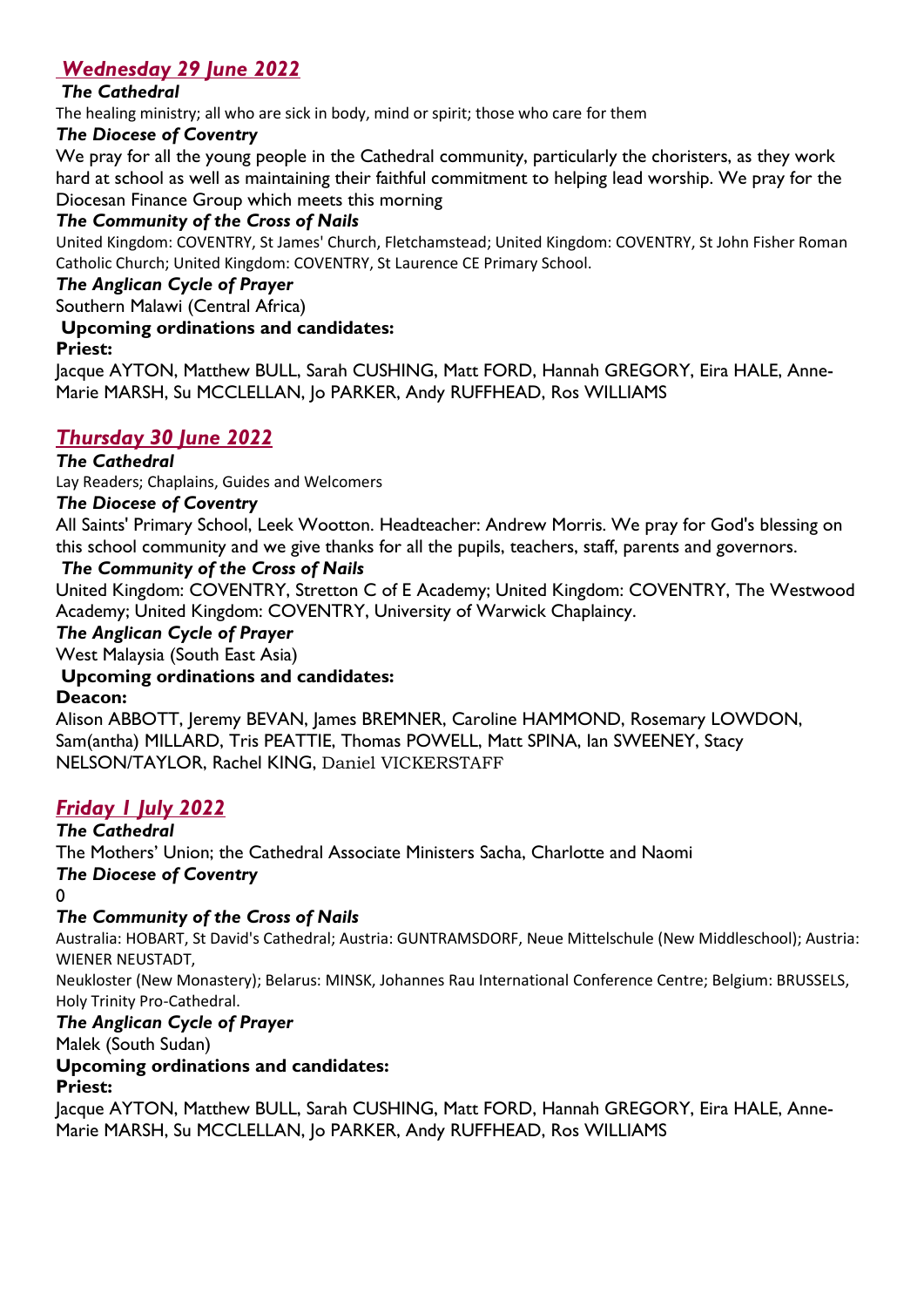# *Wednesday 29 June 2022*

# *The Cathedral*

The healing ministry; all who are sick in body, mind or spirit; those who care for them

### *The Diocese of Coventry*

We pray for all the young people in the Cathedral community, particularly the choristers, as they work hard at school as well as maintaining their faithful commitment to helping lead worship. We pray for the Diocesan Finance Group which meets this morning

# *The Community of the Cross of Nails*

United Kingdom: COVENTRY, St James' Church, Fletchamstead; United Kingdom: COVENTRY, St John Fisher Roman Catholic Church; United Kingdom: COVENTRY, St Laurence CE Primary School.

### *The Anglican Cycle of Prayer*

Southern Malawi (Central Africa)

#### **Upcoming ordinations and candidates:**

#### **Priest:**

Jacque AYTON, Matthew BULL, Sarah CUSHING, Matt FORD, Hannah GREGORY, Eira HALE, Anne-Marie MARSH, Su MCCLELLAN, Jo PARKER, Andy RUFFHEAD, Ros WILLIAMS

# *Thursday 30 June 2022*

#### *The Cathedral*

Lay Readers; Chaplains, Guides and Welcomers

#### *The Diocese of Coventry*

All Saints' Primary School, Leek Wootton. Headteacher: Andrew Morris. We pray for God's blessing on this school community and we give thanks for all the pupils, teachers, staff, parents and governors.

#### *The Community of the Cross of Nails*

United Kingdom: COVENTRY, Stretton C of E Academy; United Kingdom: COVENTRY, The Westwood Academy; United Kingdom: COVENTRY, University of Warwick Chaplaincy.

#### *The Anglican Cycle of Prayer*

West Malaysia (South East Asia)

# **Upcoming ordinations and candidates:**

#### **Deacon:**

Alison ABBOTT, Jeremy BEVAN, James BREMNER, Caroline HAMMOND, Rosemary LOWDON, Sam(antha) MILLARD, Tris PEATTIE, Thomas POWELL, Matt SPINA, Ian SWEENEY, Stacy NELSON/TAYLOR, Rachel KING, Daniel VICKERSTAFF

# *Friday 1 July 2022*

*The Cathedral*  The Mothers' Union; the Cathedral Associate Ministers Sacha, Charlotte and Naomi

*The Diocese of Coventry* 

 $\Omega$ 

# *The Community of the Cross of Nails*

Australia: HOBART, St David's Cathedral; Austria: GUNTRAMSDORF, Neue Mittelschule (New Middleschool); Austria: WIENER NEUSTADT,

Neukloster (New Monastery); Belarus: MINSK, Johannes Rau International Conference Centre; Belgium: BRUSSELS, Holy Trinity Pro-Cathedral.

# *The Anglican Cycle of Prayer*

Malek (South Sudan)

# **Upcoming ordinations and candidates:**

# **Priest:**

Jacque AYTON, Matthew BULL, Sarah CUSHING, Matt FORD, Hannah GREGORY, Eira HALE, Anne-Marie MARSH, Su MCCLELLAN, Jo PARKER, Andy RUFFHEAD, Ros WILLIAMS